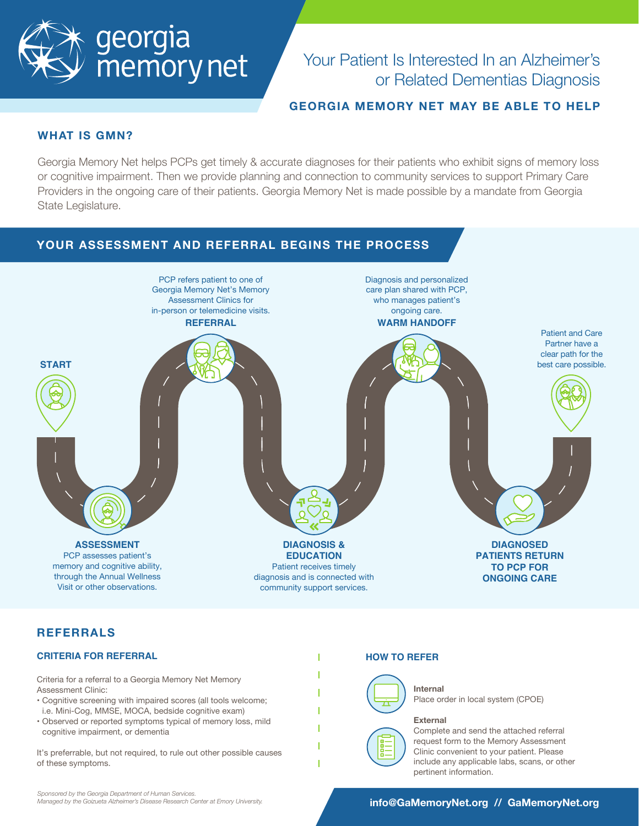

# Your Patient Is Interested In an Alzheimer's or Related Dementias Diagnosis

# **GEORGIA MEMORY NET MAY BE ABLE TO HELP**

## **WHAT IS GMN?**

Georgia Memory Net helps PCPs get timely & accurate diagnoses for their patients who exhibit signs of memory loss or cognitive impairment. Then we provide planning and connection to community services to support Primary Care Providers in the ongoing care of their patients. Georgia Memory Net is made possible by a mandate from Georgia State Legislature.



# **REFERRALS**

### **CRITERIA FOR REFERRAL**

Criteria for a referral to a Georgia Memory Net Memory Assessment Clinic:

- Cognitive screening with impaired scores (all tools welcome; i.e. Mini-Cog, MMSE, MOCA, bedside cognitive exam)
- Observed or reported symptoms typical of memory loss, mild cognitive impairment, or dementia

It's preferrable, but not required, to rule out other possible causes of these symptoms.

#### **HOW TO REFER**



**Internal**

Place order in local system (CPOE)

#### **External**



Complete and send the attached referral request form to the Memory Assessment Clinic convenient to your patient. Please include any applicable labs, scans, or other pertinent information.

## **info@GaMemoryNet.org // GaMemoryNet.org**